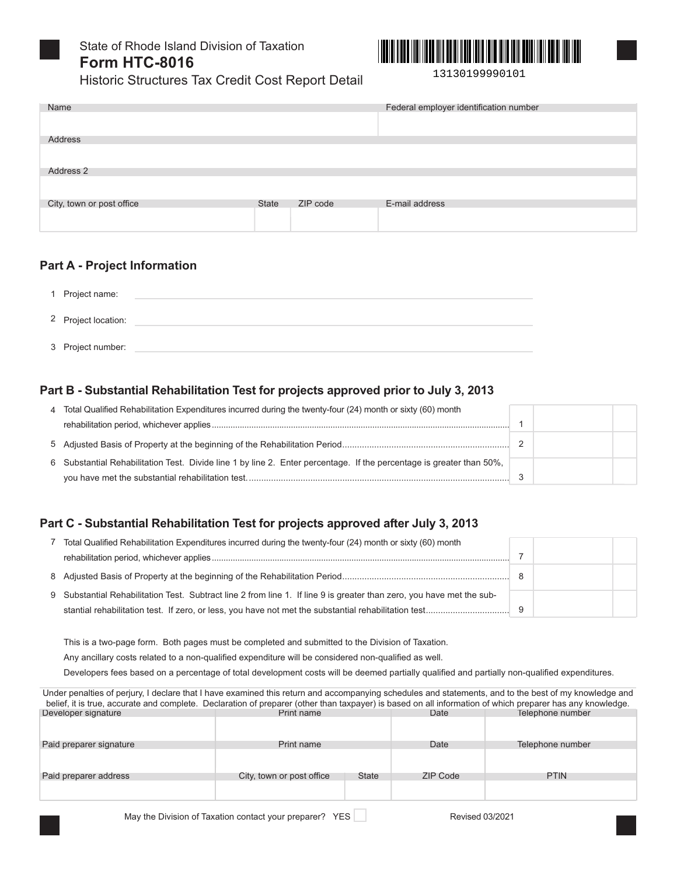



13130199990101

|      | Thotono Otheretal our leave broadt opport botain |                                        |
|------|--------------------------------------------------|----------------------------------------|
| Name |                                                  | Federal employer identification number |
|      |                                                  |                                        |

| Address                   |              |          |                |
|---------------------------|--------------|----------|----------------|
|                           |              |          |                |
| Address 2                 |              |          |                |
|                           |              |          |                |
| City, town or post office | <b>State</b> | ZIP code | E-mail address |
|                           |              |          |                |

### **Part A - Project Information**

| 1 Project name:     |  |
|---------------------|--|
| 2 Project location: |  |
| 3 Project number:   |  |

### Part B - Substantial Rehabilitation Test for projects approved prior to July 3, 2013

| 4 Total Qualified Rehabilitation Expenditures incurred during the twenty-four (24) month or sixty (60) month         |  |  |
|----------------------------------------------------------------------------------------------------------------------|--|--|
|                                                                                                                      |  |  |
|                                                                                                                      |  |  |
| 6 Substantial Rehabilitation Test. Divide line 1 by line 2. Enter percentage. If the percentage is greater than 50%, |  |  |
|                                                                                                                      |  |  |

## Part C - Substantial Rehabilitation Test for projects approved after July 3, 2013

| Total Qualified Rehabilitation Expenditures incurred during the twenty-four (24) month or sixty (60) month            |  |  |
|-----------------------------------------------------------------------------------------------------------------------|--|--|
|                                                                                                                       |  |  |
|                                                                                                                       |  |  |
| 9 Substantial Rehabilitation Test. Subtract line 2 from line 1. If line 9 is greater than zero, you have met the sub- |  |  |
|                                                                                                                       |  |  |

This is a two-page form. Both pages must be completed and submitted to the Division of Taxation.

Any ancillary costs related to a non-qualified expenditure will be considered non-qualified as well.

Developers fees based on a percentage of total development costs will be deemed partially qualified and partially non-qualified expenditures.

| Under penalties of perjury, I declare that I have examined this return and accompanying schedules and statements, and to the best of my knowledge and     |                           |              |          |                  |  |  |  |
|-----------------------------------------------------------------------------------------------------------------------------------------------------------|---------------------------|--------------|----------|------------------|--|--|--|
| belief, it is true, accurate and complete. Declaration of preparer (other than taxpayer) is based on all information of which preparer has any knowledge. |                           |              |          |                  |  |  |  |
| Developer signature                                                                                                                                       | Print name                |              | Date     | Telephone number |  |  |  |
|                                                                                                                                                           |                           |              |          |                  |  |  |  |
| Paid preparer signature                                                                                                                                   | Print name                |              | Date     | Telephone number |  |  |  |
|                                                                                                                                                           |                           |              |          |                  |  |  |  |
| Paid preparer address                                                                                                                                     | City, town or post office | <b>State</b> | ZIP Code | <b>PTIN</b>      |  |  |  |
|                                                                                                                                                           |                           |              |          |                  |  |  |  |